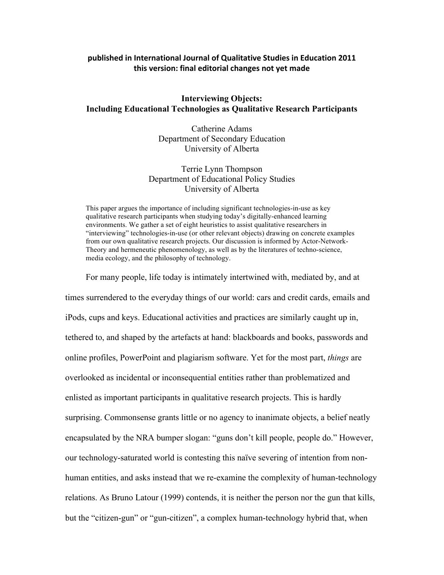# **published in International Journal of Qualitative Studies in Education 2011** this version: final editorial changes not yet made

# **Interviewing Objects: Including Educational Technologies as Qualitative Research Participants**

Catherine Adams Department of Secondary Education University of Alberta

# Terrie Lynn Thompson Department of Educational Policy Studies University of Alberta

This paper argues the importance of including significant technologies-in-use as key qualitative research participants when studying today's digitally-enhanced learning environments. We gather a set of eight heuristics to assist qualitative researchers in "interviewing" technologies-in-use (or other relevant objects) drawing on concrete examples from our own qualitative research projects. Our discussion is informed by Actor-Network-Theory and hermeneutic phenomenology, as well as by the literatures of techno-science, media ecology, and the philosophy of technology.

For many people, life today is intimately intertwined with, mediated by, and at times surrendered to the everyday things of our world: cars and credit cards, emails and iPods, cups and keys. Educational activities and practices are similarly caught up in, tethered to, and shaped by the artefacts at hand: blackboards and books, passwords and online profiles, PowerPoint and plagiarism software. Yet for the most part, *things* are overlooked as incidental or inconsequential entities rather than problematized and enlisted as important participants in qualitative research projects. This is hardly surprising. Commonsense grants little or no agency to inanimate objects, a belief neatly encapsulated by the NRA bumper slogan: "guns don't kill people, people do." However, our technology-saturated world is contesting this naïve severing of intention from nonhuman entities, and asks instead that we re-examine the complexity of human-technology relations. As Bruno Latour (1999) contends, it is neither the person nor the gun that kills, but the "citizen-gun" or "gun-citizen", a complex human-technology hybrid that, when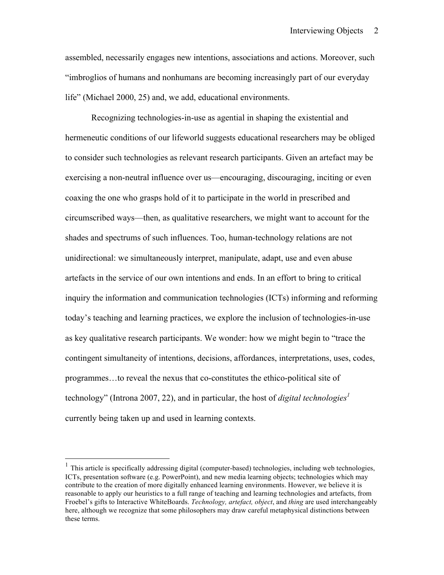assembled, necessarily engages new intentions, associations and actions. Moreover, such "imbroglios of humans and nonhumans are becoming increasingly part of our everyday life" (Michael 2000, 25) and, we add, educational environments.

Recognizing technologies-in-use as agential in shaping the existential and hermeneutic conditions of our lifeworld suggests educational researchers may be obliged to consider such technologies as relevant research participants. Given an artefact may be exercising a non-neutral influence over us—encouraging, discouraging, inciting or even coaxing the one who grasps hold of it to participate in the world in prescribed and circumscribed ways—then, as qualitative researchers, we might want to account for the shades and spectrums of such influences. Too, human-technology relations are not unidirectional: we simultaneously interpret, manipulate, adapt, use and even abuse artefacts in the service of our own intentions and ends. In an effort to bring to critical inquiry the information and communication technologies (ICTs) informing and reforming today's teaching and learning practices, we explore the inclusion of technologies-in-use as key qualitative research participants. We wonder: how we might begin to "trace the contingent simultaneity of intentions, decisions, affordances, interpretations, uses, codes, programmes…to reveal the nexus that co-constitutes the ethico-political site of technology" (Introna 2007, 22), and in particular, the host of *digital technologies*<sup>1</sup> currently being taken up and used in learning contexts.

 $1$  This article is specifically addressing digital (computer-based) technologies, including web technologies, ICTs, presentation software (e.g. PowerPoint), and new media learning objects; technologies which may contribute to the creation of more digitally enhanced learning environments. However, we believe it is reasonable to apply our heuristics to a full range of teaching and learning technologies and artefacts, from Froebel's gifts to Interactive WhiteBoards. *Technology, artefact, object*, and *thing* are used interchangeably here, although we recognize that some philosophers may draw careful metaphysical distinctions between these terms.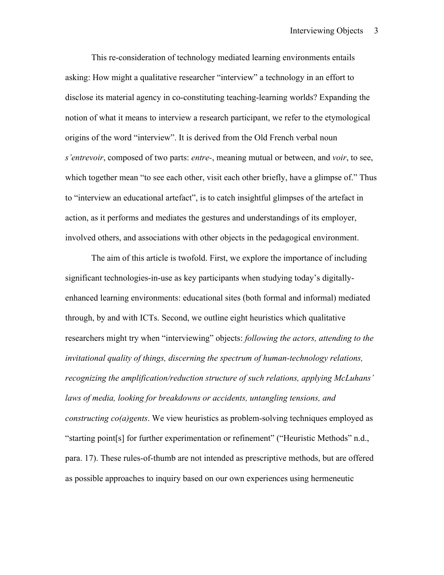This re-consideration of technology mediated learning environments entails asking: How might a qualitative researcher "interview" a technology in an effort to disclose its material agency in co-constituting teaching-learning worlds? Expanding the notion of what it means to interview a research participant, we refer to the etymological origins of the word "interview". It is derived from the Old French verbal noun *s'entrevoir*, composed of two parts: *entre-*, meaning mutual or between, and *voir*, to see, which together mean "to see each other, visit each other briefly, have a glimpse of." Thus to "interview an educational artefact", is to catch insightful glimpses of the artefact in action, as it performs and mediates the gestures and understandings of its employer, involved others, and associations with other objects in the pedagogical environment.

The aim of this article is twofold. First, we explore the importance of including significant technologies-in-use as key participants when studying today's digitallyenhanced learning environments: educational sites (both formal and informal) mediated through, by and with ICTs. Second, we outline eight heuristics which qualitative researchers might try when "interviewing" objects: *following the actors, attending to the invitational quality of things, discerning the spectrum of human-technology relations, recognizing the amplification/reduction structure of such relations, applying McLuhans' laws of media, looking for breakdowns or accidents, untangling tensions, and constructing co(a)gents*. We view heuristics as problem-solving techniques employed as "starting point[s] for further experimentation or refinement" ("Heuristic Methods" n.d., para. 17). These rules-of-thumb are not intended as prescriptive methods, but are offered as possible approaches to inquiry based on our own experiences using hermeneutic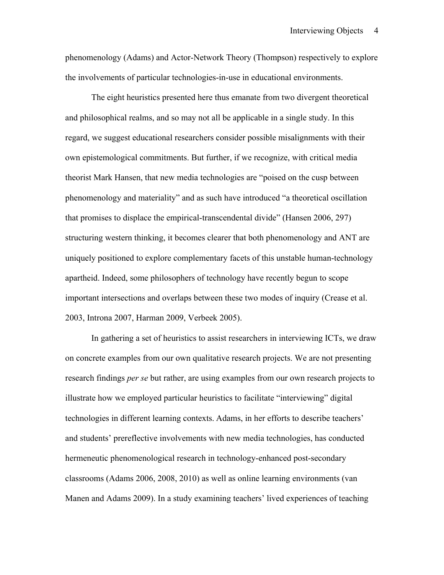phenomenology (Adams) and Actor-Network Theory (Thompson) respectively to explore the involvements of particular technologies-in-use in educational environments.

The eight heuristics presented here thus emanate from two divergent theoretical and philosophical realms, and so may not all be applicable in a single study. In this regard, we suggest educational researchers consider possible misalignments with their own epistemological commitments. But further, if we recognize, with critical media theorist Mark Hansen, that new media technologies are "poised on the cusp between phenomenology and materiality" and as such have introduced "a theoretical oscillation that promises to displace the empirical-transcendental divide" (Hansen 2006, 297) structuring western thinking, it becomes clearer that both phenomenology and ANT are uniquely positioned to explore complementary facets of this unstable human-technology apartheid. Indeed, some philosophers of technology have recently begun to scope important intersections and overlaps between these two modes of inquiry (Crease et al. 2003, Introna 2007, Harman 2009, Verbeek 2005).

In gathering a set of heuristics to assist researchers in interviewing ICTs, we draw on concrete examples from our own qualitative research projects. We are not presenting research findings *per se* but rather, are using examples from our own research projects to illustrate how we employed particular heuristics to facilitate "interviewing" digital technologies in different learning contexts. Adams, in her efforts to describe teachers' and students' prereflective involvements with new media technologies, has conducted hermeneutic phenomenological research in technology-enhanced post-secondary classrooms (Adams 2006, 2008, 2010) as well as online learning environments (van Manen and Adams 2009). In a study examining teachers' lived experiences of teaching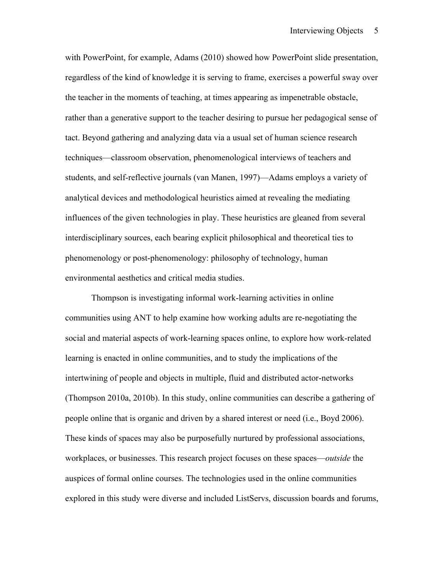with PowerPoint, for example, Adams (2010) showed how PowerPoint slide presentation, regardless of the kind of knowledge it is serving to frame, exercises a powerful sway over the teacher in the moments of teaching, at times appearing as impenetrable obstacle, rather than a generative support to the teacher desiring to pursue her pedagogical sense of tact. Beyond gathering and analyzing data via a usual set of human science research techniques—classroom observation, phenomenological interviews of teachers and students, and self-reflective journals (van Manen, 1997)—Adams employs a variety of analytical devices and methodological heuristics aimed at revealing the mediating influences of the given technologies in play. These heuristics are gleaned from several interdisciplinary sources, each bearing explicit philosophical and theoretical ties to phenomenology or post-phenomenology: philosophy of technology, human environmental aesthetics and critical media studies.

Thompson is investigating informal work-learning activities in online communities using ANT to help examine how working adults are re-negotiating the social and material aspects of work-learning spaces online, to explore how work-related learning is enacted in online communities, and to study the implications of the intertwining of people and objects in multiple, fluid and distributed actor-networks (Thompson 2010a, 2010b). In this study, online communities can describe a gathering of people online that is organic and driven by a shared interest or need (i.e., Boyd 2006). These kinds of spaces may also be purposefully nurtured by professional associations, workplaces, or businesses. This research project focuses on these spaces—*outside* the auspices of formal online courses. The technologies used in the online communities explored in this study were diverse and included ListServs, discussion boards and forums,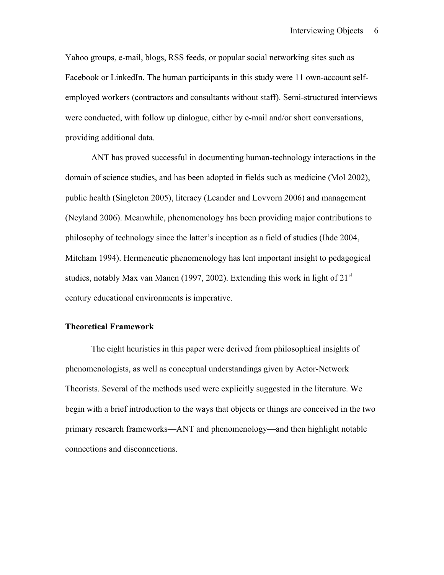Yahoo groups, e-mail, blogs, RSS feeds, or popular social networking sites such as Facebook or LinkedIn. The human participants in this study were 11 own-account selfemployed workers (contractors and consultants without staff). Semi-structured interviews were conducted, with follow up dialogue, either by e-mail and/or short conversations, providing additional data.

ANT has proved successful in documenting human-technology interactions in the domain of science studies, and has been adopted in fields such as medicine (Mol 2002), public health (Singleton 2005), literacy (Leander and Lovvorn 2006) and management (Neyland 2006). Meanwhile, phenomenology has been providing major contributions to philosophy of technology since the latter's inception as a field of studies (Ihde 2004, Mitcham 1994). Hermeneutic phenomenology has lent important insight to pedagogical studies, notably Max van Manen (1997, 2002). Extending this work in light of  $21<sup>st</sup>$ century educational environments is imperative.

# **Theoretical Framework**

The eight heuristics in this paper were derived from philosophical insights of phenomenologists, as well as conceptual understandings given by Actor-Network Theorists. Several of the methods used were explicitly suggested in the literature. We begin with a brief introduction to the ways that objects or things are conceived in the two primary research frameworks—ANT and phenomenology—and then highlight notable connections and disconnections.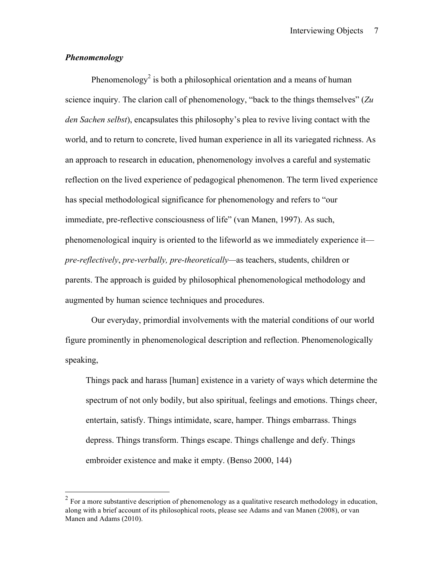# *Phenomenology*

Phenomenology<sup>2</sup> is both a philosophical orientation and a means of human science inquiry. The clarion call of phenomenology, "back to the things themselves" (*Zu den Sachen selbst*), encapsulates this philosophy's plea to revive living contact with the world, and to return to concrete, lived human experience in all its variegated richness. As an approach to research in education, phenomenology involves a careful and systematic reflection on the lived experience of pedagogical phenomenon. The term lived experience has special methodological significance for phenomenology and refers to "our immediate, pre-reflective consciousness of life" (van Manen, 1997). As such, phenomenological inquiry is oriented to the lifeworld as we immediately experience it *pre-reflectively*, *pre-verbally, pre-theoretically—*as teachers, students, children or parents. The approach is guided by philosophical phenomenological methodology and augmented by human science techniques and procedures.

Our everyday, primordial involvements with the material conditions of our world figure prominently in phenomenological description and reflection. Phenomenologically speaking,

Things pack and harass [human] existence in a variety of ways which determine the spectrum of not only bodily, but also spiritual, feelings and emotions. Things cheer, entertain, satisfy. Things intimidate, scare, hamper. Things embarrass. Things depress. Things transform. Things escape. Things challenge and defy. Things embroider existence and make it empty. (Benso 2000, 144)

 $2$  For a more substantive description of phenomenology as a qualitative research methodology in education, along with a brief account of its philosophical roots, please see Adams and van Manen (2008), or van Manen and Adams (2010).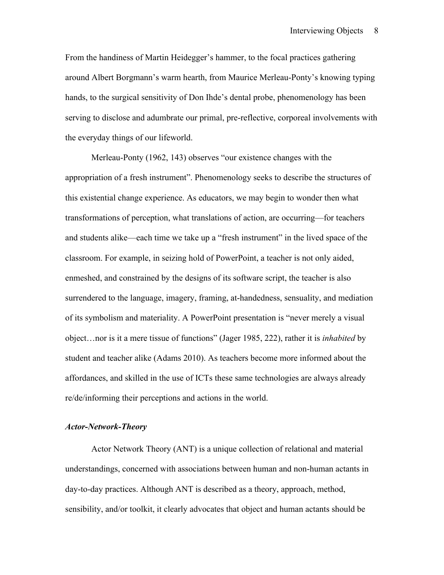From the handiness of Martin Heidegger's hammer, to the focal practices gathering around Albert Borgmann's warm hearth, from Maurice Merleau-Ponty's knowing typing hands, to the surgical sensitivity of Don Ihde's dental probe, phenomenology has been serving to disclose and adumbrate our primal, pre-reflective, corporeal involvements with the everyday things of our lifeworld.

Merleau-Ponty (1962, 143) observes "our existence changes with the appropriation of a fresh instrument". Phenomenology seeks to describe the structures of this existential change experience. As educators, we may begin to wonder then what transformations of perception, what translations of action, are occurring—for teachers and students alike—each time we take up a "fresh instrument" in the lived space of the classroom. For example, in seizing hold of PowerPoint, a teacher is not only aided, enmeshed, and constrained by the designs of its software script, the teacher is also surrendered to the language, imagery, framing, at-handedness, sensuality, and mediation of its symbolism and materiality. A PowerPoint presentation is "never merely a visual object…nor is it a mere tissue of functions" (Jager 1985, 222), rather it is *inhabited* by student and teacher alike (Adams 2010). As teachers become more informed about the affordances, and skilled in the use of ICTs these same technologies are always already re/de/informing their perceptions and actions in the world.

# *Actor-Network-Theory*

Actor Network Theory (ANT) is a unique collection of relational and material understandings, concerned with associations between human and non-human actants in day-to-day practices. Although ANT is described as a theory, approach, method, sensibility, and/or toolkit, it clearly advocates that object and human actants should be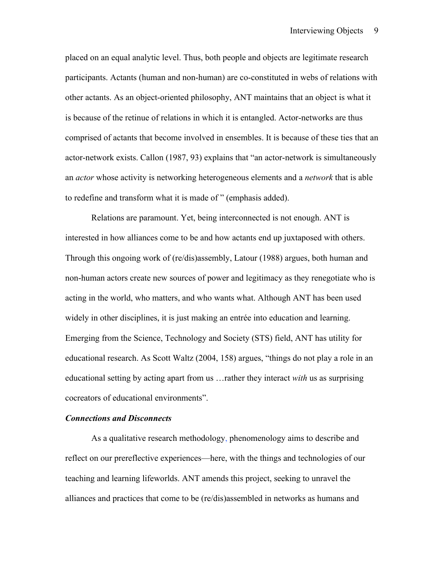placed on an equal analytic level. Thus, both people and objects are legitimate research participants. Actants (human and non-human) are co-constituted in webs of relations with other actants. As an object-oriented philosophy, ANT maintains that an object is what it is because of the retinue of relations in which it is entangled. Actor-networks are thus comprised of actants that become involved in ensembles. It is because of these ties that an actor-network exists. Callon (1987, 93) explains that "an actor-network is simultaneously an *actor* whose activity is networking heterogeneous elements and a *network* that is able to redefine and transform what it is made of " (emphasis added).

Relations are paramount. Yet, being interconnected is not enough. ANT is interested in how alliances come to be and how actants end up juxtaposed with others. Through this ongoing work of (re/dis)assembly, Latour (1988) argues, both human and non-human actors create new sources of power and legitimacy as they renegotiate who is acting in the world, who matters, and who wants what. Although ANT has been used widely in other disciplines, it is just making an entrée into education and learning. Emerging from the Science, Technology and Society (STS) field, ANT has utility for educational research. As Scott Waltz (2004, 158) argues, "things do not play a role in an educational setting by acting apart from us …rather they interact *with* us as surprising cocreators of educational environments".

#### *Connections and Disconnects*

As a qualitative research methodology, phenomenology aims to describe and reflect on our prereflective experiences—here, with the things and technologies of our teaching and learning lifeworlds. ANT amends this project, seeking to unravel the alliances and practices that come to be (re/dis)assembled in networks as humans and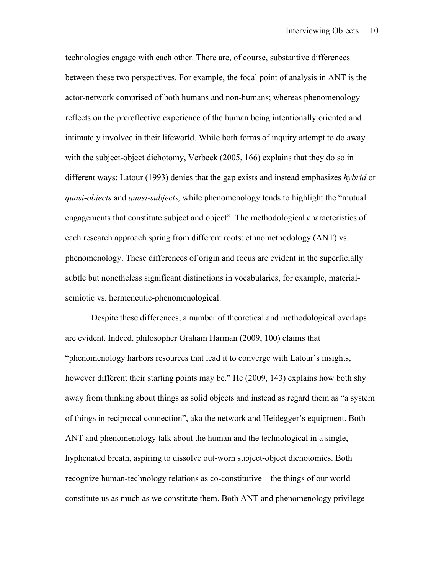technologies engage with each other. There are, of course, substantive differences between these two perspectives. For example, the focal point of analysis in ANT is the actor-network comprised of both humans and non-humans; whereas phenomenology reflects on the prereflective experience of the human being intentionally oriented and intimately involved in their lifeworld. While both forms of inquiry attempt to do away with the subject-object dichotomy, Verbeek (2005, 166) explains that they do so in different ways: Latour (1993) denies that the gap exists and instead emphasizes *hybrid* or *quasi*-*objects* and *quasi-subjects,* while phenomenology tends to highlight the "mutual engagements that constitute subject and object". The methodological characteristics of each research approach spring from different roots: ethnomethodology (ANT) vs. phenomenology. These differences of origin and focus are evident in the superficially subtle but nonetheless significant distinctions in vocabularies, for example, materialsemiotic vs. hermeneutic-phenomenological.

Despite these differences, a number of theoretical and methodological overlaps are evident. Indeed, philosopher Graham Harman (2009, 100) claims that "phenomenology harbors resources that lead it to converge with Latour's insights, however different their starting points may be." He (2009, 143) explains how both shy away from thinking about things as solid objects and instead as regard them as "a system of things in reciprocal connection", aka the network and Heidegger's equipment. Both ANT and phenomenology talk about the human and the technological in a single, hyphenated breath, aspiring to dissolve out-worn subject-object dichotomies. Both recognize human-technology relations as co-constitutive—the things of our world constitute us as much as we constitute them. Both ANT and phenomenology privilege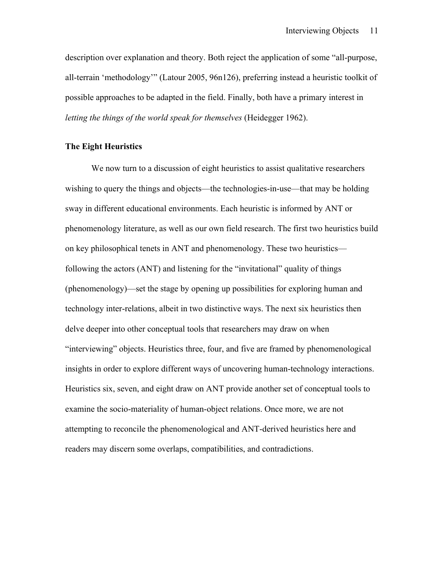description over explanation and theory. Both reject the application of some "all-purpose, all-terrain 'methodology'" (Latour 2005, 96n126), preferring instead a heuristic toolkit of possible approaches to be adapted in the field. Finally, both have a primary interest in *letting the things of the world speak for themselves* (Heidegger 1962).

# **The Eight Heuristics**

We now turn to a discussion of eight heuristics to assist qualitative researchers wishing to query the things and objects—the technologies-in-use—that may be holding sway in different educational environments. Each heuristic is informed by ANT or phenomenology literature, as well as our own field research. The first two heuristics build on key philosophical tenets in ANT and phenomenology. These two heuristics following the actors (ANT) and listening for the "invitational" quality of things (phenomenology)—set the stage by opening up possibilities for exploring human and technology inter-relations, albeit in two distinctive ways. The next six heuristics then delve deeper into other conceptual tools that researchers may draw on when "interviewing" objects. Heuristics three, four, and five are framed by phenomenological insights in order to explore different ways of uncovering human-technology interactions. Heuristics six, seven, and eight draw on ANT provide another set of conceptual tools to examine the socio-materiality of human-object relations. Once more, we are not attempting to reconcile the phenomenological and ANT-derived heuristics here and readers may discern some overlaps, compatibilities, and contradictions.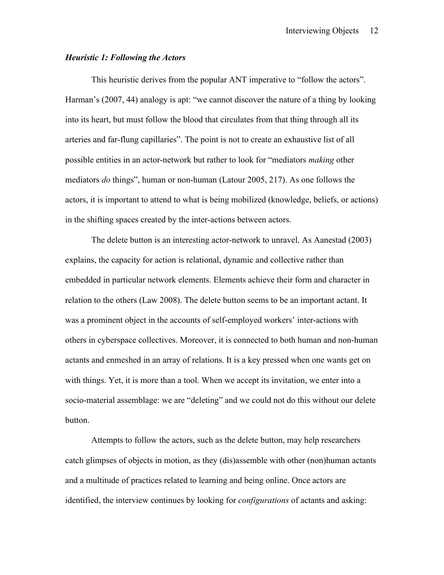# *Heuristic 1: Following the Actors*

This heuristic derives from the popular ANT imperative to "follow the actors". Harman's (2007, 44) analogy is apt: "we cannot discover the nature of a thing by looking into its heart, but must follow the blood that circulates from that thing through all its arteries and far-flung capillaries". The point is not to create an exhaustive list of all possible entities in an actor-network but rather to look for "mediators *making* other mediators *do* things", human or non-human (Latour 2005, 217). As one follows the actors, it is important to attend to what is being mobilized (knowledge, beliefs, or actions) in the shifting spaces created by the inter-actions between actors.

The delete button is an interesting actor-network to unravel. As Aanestad (2003) explains, the capacity for action is relational, dynamic and collective rather than embedded in particular network elements. Elements achieve their form and character in relation to the others (Law 2008). The delete button seems to be an important actant. It was a prominent object in the accounts of self-employed workers' inter-actions with others in cyberspace collectives. Moreover, it is connected to both human and non-human actants and enmeshed in an array of relations. It is a key pressed when one wants get on with things. Yet, it is more than a tool. When we accept its invitation, we enter into a socio-material assemblage: we are "deleting" and we could not do this without our delete button.

Attempts to follow the actors, such as the delete button, may help researchers catch glimpses of objects in motion, as they (dis)assemble with other (non)human actants and a multitude of practices related to learning and being online. Once actors are identified, the interview continues by looking for *configurations* of actants and asking: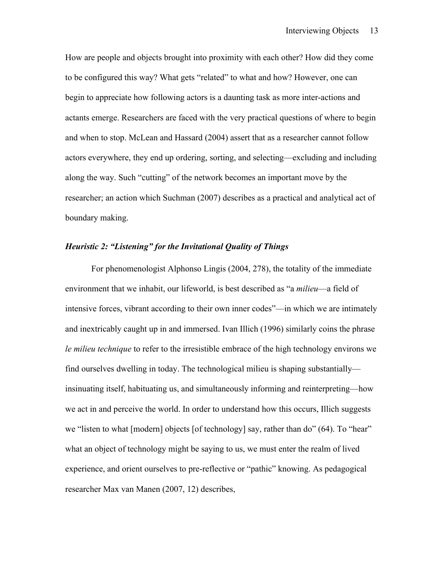How are people and objects brought into proximity with each other? How did they come to be configured this way? What gets "related" to what and how? However, one can begin to appreciate how following actors is a daunting task as more inter-actions and actants emerge. Researchers are faced with the very practical questions of where to begin and when to stop. McLean and Hassard (2004) assert that as a researcher cannot follow actors everywhere, they end up ordering, sorting, and selecting—excluding and including along the way. Such "cutting" of the network becomes an important move by the researcher; an action which Suchman (2007) describes as a practical and analytical act of boundary making.

# *Heuristic 2: "Listening" for the Invitational Quality of Things*

For phenomenologist Alphonso Lingis (2004, 278), the totality of the immediate environment that we inhabit, our lifeworld, is best described as "a *milieu*—a field of intensive forces, vibrant according to their own inner codes"—in which we are intimately and inextricably caught up in and immersed. Ivan Illich (1996) similarly coins the phrase *le milieu technique* to refer to the irresistible embrace of the high technology environs we find ourselves dwelling in today. The technological milieu is shaping substantially insinuating itself, habituating us, and simultaneously informing and reinterpreting—how we act in and perceive the world. In order to understand how this occurs, Illich suggests we "listen to what [modern] objects [of technology] say, rather than do" (64). To "hear" what an object of technology might be saying to us, we must enter the realm of lived experience, and orient ourselves to pre-reflective or "pathic" knowing. As pedagogical researcher Max van Manen (2007, 12) describes,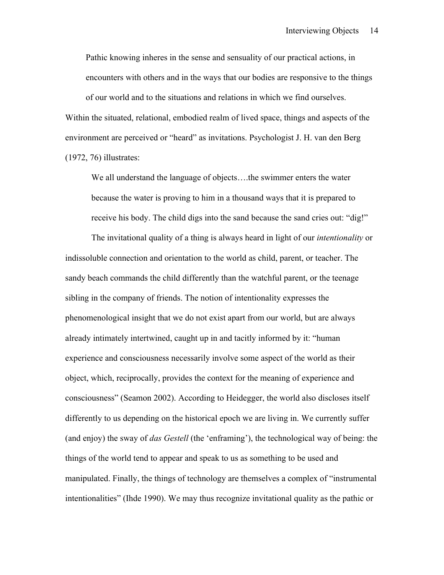Pathic knowing inheres in the sense and sensuality of our practical actions, in encounters with others and in the ways that our bodies are responsive to the things of our world and to the situations and relations in which we find ourselves. Within the situated, relational, embodied realm of lived space, things and aspects of the environment are perceived or "heard" as invitations. Psychologist J. H. van den Berg (1972, 76) illustrates:

We all understand the language of objects….the swimmer enters the water because the water is proving to him in a thousand ways that it is prepared to receive his body. The child digs into the sand because the sand cries out: "dig!"

The invitational quality of a thing is always heard in light of our *intentionality* or indissoluble connection and orientation to the world as child, parent, or teacher. The sandy beach commands the child differently than the watchful parent, or the teenage sibling in the company of friends. The notion of intentionality expresses the phenomenological insight that we do not exist apart from our world, but are always already intimately intertwined, caught up in and tacitly informed by it: "human experience and consciousness necessarily involve some aspect of the world as their object, which, reciprocally, provides the context for the meaning of experience and consciousness" (Seamon 2002). According to Heidegger, the world also discloses itself differently to us depending on the historical epoch we are living in. We currently suffer (and enjoy) the sway of *das Gestell* (the 'enframing'), the technological way of being: the things of the world tend to appear and speak to us as something to be used and manipulated. Finally, the things of technology are themselves a complex of "instrumental intentionalities" (Ihde 1990). We may thus recognize invitational quality as the pathic or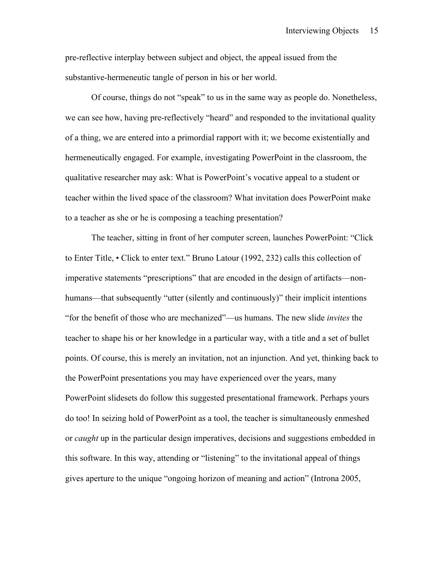pre-reflective interplay between subject and object, the appeal issued from the substantive-hermeneutic tangle of person in his or her world.

Of course, things do not "speak" to us in the same way as people do. Nonetheless, we can see how, having pre-reflectively "heard" and responded to the invitational quality of a thing, we are entered into a primordial rapport with it; we become existentially and hermeneutically engaged. For example, investigating PowerPoint in the classroom, the qualitative researcher may ask: What is PowerPoint's vocative appeal to a student or teacher within the lived space of the classroom? What invitation does PowerPoint make to a teacher as she or he is composing a teaching presentation?

The teacher, sitting in front of her computer screen, launches PowerPoint: "Click to Enter Title, • Click to enter text." Bruno Latour (1992, 232) calls this collection of imperative statements "prescriptions" that are encoded in the design of artifacts—nonhumans—that subsequently "utter (silently and continuously)" their implicit intentions "for the benefit of those who are mechanized"—us humans. The new slide *invites* the teacher to shape his or her knowledge in a particular way, with a title and a set of bullet points. Of course, this is merely an invitation, not an injunction. And yet, thinking back to the PowerPoint presentations you may have experienced over the years, many PowerPoint slidesets do follow this suggested presentational framework. Perhaps yours do too! In seizing hold of PowerPoint as a tool, the teacher is simultaneously enmeshed or *caught* up in the particular design imperatives, decisions and suggestions embedded in this software. In this way, attending or "listening" to the invitational appeal of things gives aperture to the unique "ongoing horizon of meaning and action" (Introna 2005,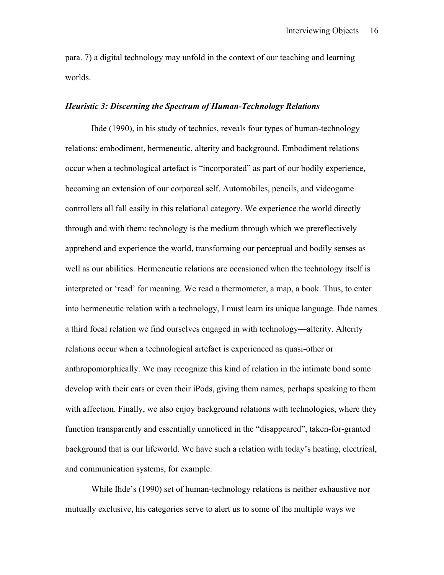para. 7) a digital technology may unfold in the context of our teaching and learning worlds.

## *Heuristic 3: Discerning the Spectrum of Human-Technology Relations*

Ihde (1990), in his study of technics, reveals four types of human-technology relations: embodiment, hermeneutic, alterity and background. Embodiment relations occur when a technological artefact is "incorporated" as part of our bodily experience, becoming an extension of our corporeal self. Automobiles, pencils, and videogame controllers all fall easily in this relational category. We experience the world directly through and with them: technology is the medium through which we prereflectively apprehend and experience the world, transforming our perceptual and bodily senses as well as our abilities. Hermeneutic relations are occasioned when the technology itself is interpreted or 'read' for meaning. We read a thermometer, a map, a book. Thus, to enter into hermeneutic relation with a technology, I must learn its unique language. Ihde names a third focal relation we find ourselves engaged in with technology—alterity. Alterity relations occur when a technological artefact is experienced as quasi-other or anthropomorphically. We may recognize this kind of relation in the intimate bond some develop with their cars or even their iPods, giving them names, perhaps speaking to them with affection. Finally, we also enjoy background relations with technologies, where they function transparently and essentially unnoticed in the "disappeared", taken-for-granted background that is our lifeworld. We have such a relation with today's heating, electrical, and communication systems, for example.

While Ihde's (1990) set of human-technology relations is neither exhaustive nor mutually exclusive, his categories serve to alert us to some of the multiple ways we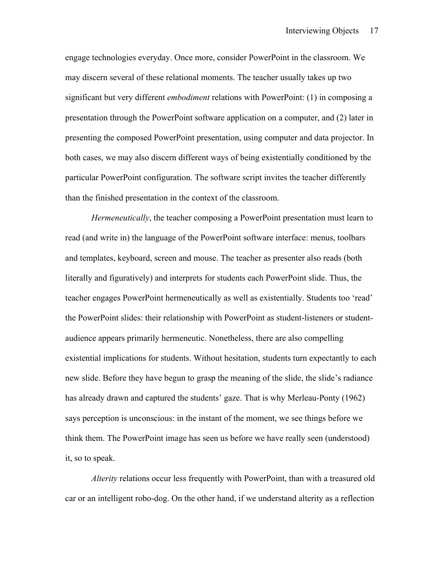engage technologies everyday. Once more, consider PowerPoint in the classroom. We may discern several of these relational moments. The teacher usually takes up two significant but very different *embodiment* relations with PowerPoint: (1) in composing a presentation through the PowerPoint software application on a computer, and (2) later in presenting the composed PowerPoint presentation, using computer and data projector. In both cases, we may also discern different ways of being existentially conditioned by the particular PowerPoint configuration. The software script invites the teacher differently than the finished presentation in the context of the classroom.

*Hermeneutically*, the teacher composing a PowerPoint presentation must learn to read (and write in) the language of the PowerPoint software interface: menus, toolbars and templates, keyboard, screen and mouse. The teacher as presenter also reads (both literally and figuratively) and interprets for students each PowerPoint slide. Thus, the teacher engages PowerPoint hermeneutically as well as existentially. Students too 'read' the PowerPoint slides: their relationship with PowerPoint as student-listeners or studentaudience appears primarily hermeneutic. Nonetheless, there are also compelling existential implications for students. Without hesitation, students turn expectantly to each new slide. Before they have begun to grasp the meaning of the slide, the slide's radiance has already drawn and captured the students' gaze. That is why Merleau-Ponty (1962) says perception is unconscious: in the instant of the moment, we see things before we think them. The PowerPoint image has seen us before we have really seen (understood) it, so to speak.

*Alterity* relations occur less frequently with PowerPoint, than with a treasured old car or an intelligent robo-dog. On the other hand, if we understand alterity as a reflection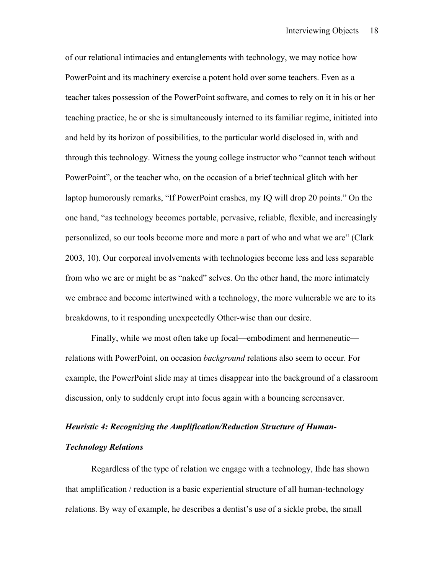of our relational intimacies and entanglements with technology, we may notice how PowerPoint and its machinery exercise a potent hold over some teachers. Even as a teacher takes possession of the PowerPoint software, and comes to rely on it in his or her teaching practice, he or she is simultaneously interned to its familiar regime, initiated into and held by its horizon of possibilities, to the particular world disclosed in, with and through this technology. Witness the young college instructor who "cannot teach without PowerPoint", or the teacher who, on the occasion of a brief technical glitch with her laptop humorously remarks, "If PowerPoint crashes, my IQ will drop 20 points." On the one hand, "as technology becomes portable, pervasive, reliable, flexible, and increasingly personalized, so our tools become more and more a part of who and what we are" (Clark 2003, 10). Our corporeal involvements with technologies become less and less separable from who we are or might be as "naked" selves. On the other hand, the more intimately we embrace and become intertwined with a technology, the more vulnerable we are to its breakdowns, to it responding unexpectedly Other-wise than our desire.

Finally, while we most often take up focal—embodiment and hermeneutic relations with PowerPoint, on occasion *background* relations also seem to occur. For example, the PowerPoint slide may at times disappear into the background of a classroom discussion, only to suddenly erupt into focus again with a bouncing screensaver.

# *Heuristic 4: Recognizing the Amplification/Reduction Structure of Human-Technology Relations*

Regardless of the type of relation we engage with a technology, Ihde has shown that amplification / reduction is a basic experiential structure of all human-technology relations. By way of example, he describes a dentist's use of a sickle probe, the small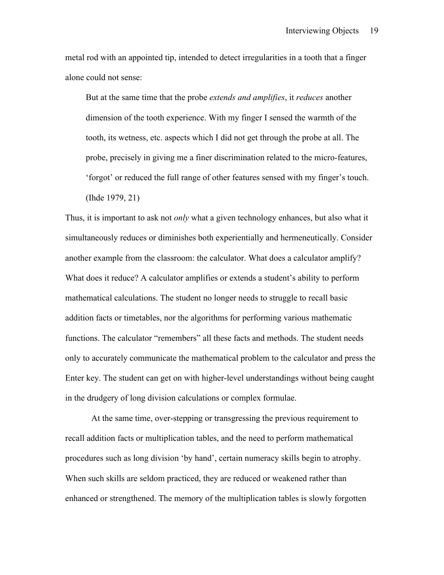metal rod with an appointed tip, intended to detect irregularities in a tooth that a finger alone could not sense:

But at the same time that the probe *extends and amplifies*, it *reduces* another dimension of the tooth experience. With my finger I sensed the warmth of the tooth, its wetness, etc. aspects which I did not get through the probe at all. The probe, precisely in giving me a finer discrimination related to the micro-features, 'forgot' or reduced the full range of other features sensed with my finger's touch. (Ihde 1979, 21)

Thus, it is important to ask not *only* what a given technology enhances, but also what it simultaneously reduces or diminishes both experientially and hermeneutically. Consider another example from the classroom: the calculator. What does a calculator amplify? What does it reduce? A calculator amplifies or extends a student's ability to perform mathematical calculations. The student no longer needs to struggle to recall basic addition facts or timetables, nor the algorithms for performing various mathematic functions. The calculator "remembers" all these facts and methods. The student needs only to accurately communicate the mathematical problem to the calculator and press the Enter key. The student can get on with higher-level understandings without being caught in the drudgery of long division calculations or complex formulae.

At the same time, over-stepping or transgressing the previous requirement to recall addition facts or multiplication tables, and the need to perform mathematical procedures such as long division 'by hand', certain numeracy skills begin to atrophy. When such skills are seldom practiced, they are reduced or weakened rather than enhanced or strengthened. The memory of the multiplication tables is slowly forgotten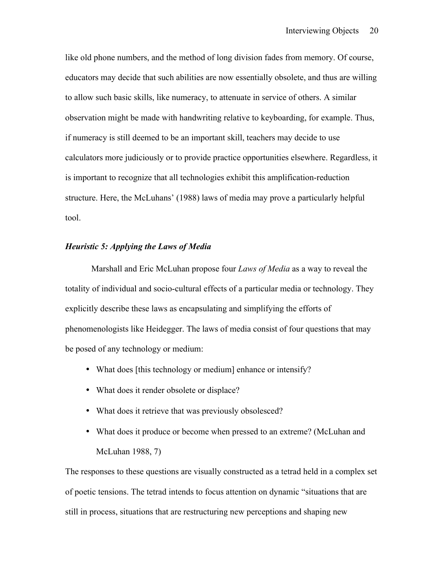like old phone numbers, and the method of long division fades from memory. Of course, educators may decide that such abilities are now essentially obsolete, and thus are willing to allow such basic skills, like numeracy, to attenuate in service of others. A similar observation might be made with handwriting relative to keyboarding, for example. Thus, if numeracy is still deemed to be an important skill, teachers may decide to use calculators more judiciously or to provide practice opportunities elsewhere. Regardless, it is important to recognize that all technologies exhibit this amplification-reduction structure. Here, the McLuhans' (1988) laws of media may prove a particularly helpful tool.

## *Heuristic 5: Applying the Laws of Media*

Marshall and Eric McLuhan propose four *Laws of Media* as a way to reveal the totality of individual and socio-cultural effects of a particular media or technology. They explicitly describe these laws as encapsulating and simplifying the efforts of phenomenologists like Heidegger. The laws of media consist of four questions that may be posed of any technology or medium:

- What does [this technology or medium] enhance or intensify?
- What does it render obsolete or displace?
- What does it retrieve that was previously obsolesced?
- What does it produce or become when pressed to an extreme? (McLuhan and McLuhan 1988, 7)

The responses to these questions are visually constructed as a tetrad held in a complex set of poetic tensions. The tetrad intends to focus attention on dynamic "situations that are still in process, situations that are restructuring new perceptions and shaping new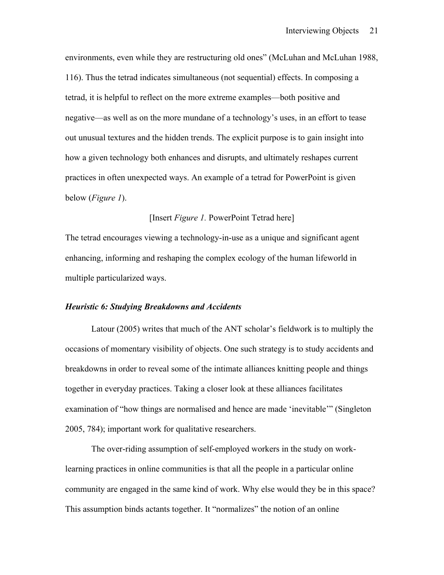environments, even while they are restructuring old ones" (McLuhan and McLuhan 1988, 116). Thus the tetrad indicates simultaneous (not sequential) effects. In composing a tetrad, it is helpful to reflect on the more extreme examples—both positive and negative—as well as on the more mundane of a technology's uses, in an effort to tease out unusual textures and the hidden trends. The explicit purpose is to gain insight into how a given technology both enhances and disrupts, and ultimately reshapes current practices in often unexpected ways. An example of a tetrad for PowerPoint is given below (*Figure 1*).

# [Insert *Figure 1.* PowerPoint Tetrad here]

The tetrad encourages viewing a technology-in-use as a unique and significant agent enhancing, informing and reshaping the complex ecology of the human lifeworld in multiple particularized ways.

# *Heuristic 6: Studying Breakdowns and Accidents*

Latour (2005) writes that much of the ANT scholar's fieldwork is to multiply the occasions of momentary visibility of objects. One such strategy is to study accidents and breakdowns in order to reveal some of the intimate alliances knitting people and things together in everyday practices. Taking a closer look at these alliances facilitates examination of "how things are normalised and hence are made 'inevitable'" (Singleton 2005, 784); important work for qualitative researchers.

The over-riding assumption of self-employed workers in the study on worklearning practices in online communities is that all the people in a particular online community are engaged in the same kind of work. Why else would they be in this space? This assumption binds actants together. It "normalizes" the notion of an online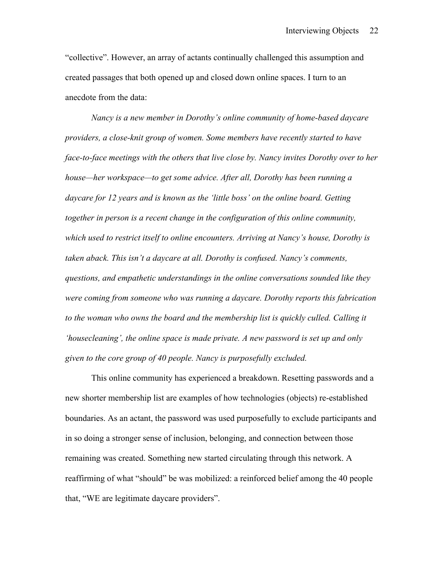"collective". However, an array of actants continually challenged this assumption and created passages that both opened up and closed down online spaces. I turn to an anecdote from the data:

*Nancy is a new member in Dorothy's online community of home-based daycare providers, a close-knit group of women. Some members have recently started to have face-to-face meetings with the others that live close by. Nancy invites Dorothy over to her house—her workspace—to get some advice. After all, Dorothy has been running a daycare for 12 years and is known as the 'little boss' on the online board. Getting together in person is a recent change in the configuration of this online community, which used to restrict itself to online encounters. Arriving at Nancy's house, Dorothy is taken aback. This isn't a daycare at all. Dorothy is confused. Nancy's comments, questions, and empathetic understandings in the online conversations sounded like they were coming from someone who was running a daycare. Dorothy reports this fabrication to the woman who owns the board and the membership list is quickly culled. Calling it 'housecleaning', the online space is made private. A new password is set up and only given to the core group of 40 people. Nancy is purposefully excluded.* 

This online community has experienced a breakdown. Resetting passwords and a new shorter membership list are examples of how technologies (objects) re-established boundaries. As an actant, the password was used purposefully to exclude participants and in so doing a stronger sense of inclusion, belonging, and connection between those remaining was created. Something new started circulating through this network. A reaffirming of what "should" be was mobilized: a reinforced belief among the 40 people that, "WE are legitimate daycare providers".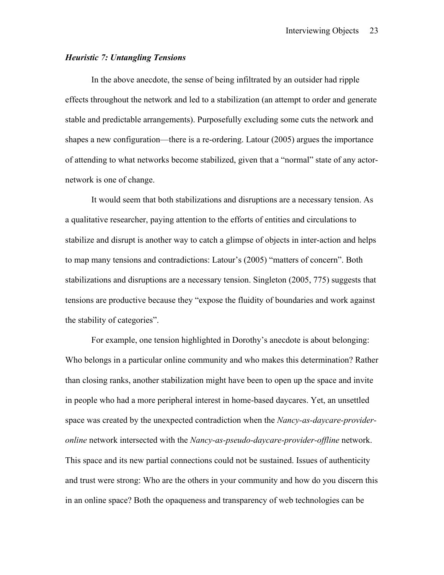# *Heuristic 7: Untangling Tensions*

In the above anecdote, the sense of being infiltrated by an outsider had ripple effects throughout the network and led to a stabilization (an attempt to order and generate stable and predictable arrangements). Purposefully excluding some cuts the network and shapes a new configuration—there is a re-ordering. Latour (2005) argues the importance of attending to what networks become stabilized, given that a "normal" state of any actornetwork is one of change.

It would seem that both stabilizations and disruptions are a necessary tension. As a qualitative researcher, paying attention to the efforts of entities and circulations to stabilize and disrupt is another way to catch a glimpse of objects in inter-action and helps to map many tensions and contradictions: Latour's (2005) "matters of concern". Both stabilizations and disruptions are a necessary tension. Singleton (2005, 775) suggests that tensions are productive because they "expose the fluidity of boundaries and work against the stability of categories".

For example, one tension highlighted in Dorothy's anecdote is about belonging: Who belongs in a particular online community and who makes this determination? Rather than closing ranks, another stabilization might have been to open up the space and invite in people who had a more peripheral interest in home-based daycares. Yet, an unsettled space was created by the unexpected contradiction when the *Nancy-as-daycare-provideronline* network intersected with the *Nancy-as-pseudo-daycare-provider-offline* network. This space and its new partial connections could not be sustained. Issues of authenticity and trust were strong: Who are the others in your community and how do you discern this in an online space? Both the opaqueness and transparency of web technologies can be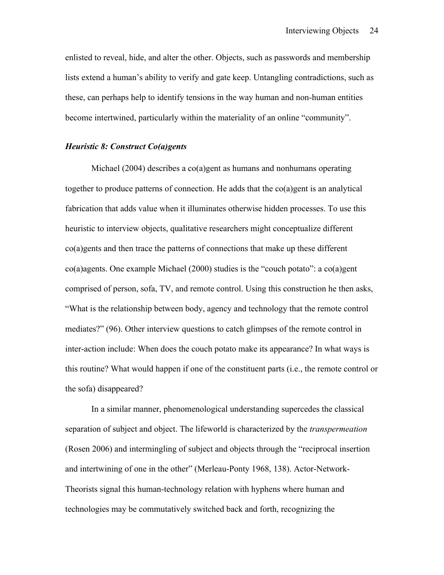enlisted to reveal, hide, and alter the other. Objects, such as passwords and membership lists extend a human's ability to verify and gate keep. Untangling contradictions, such as these, can perhaps help to identify tensions in the way human and non-human entities become intertwined, particularly within the materiality of an online "community".

#### *Heuristic 8: Construct Co(a)gents*

Michael (2004) describes a co(a)gent as humans and nonhumans operating together to produce patterns of connection. He adds that the  $co(a)$  gent is an analytical fabrication that adds value when it illuminates otherwise hidden processes. To use this heuristic to interview objects, qualitative researchers might conceptualize different co(a)gents and then trace the patterns of connections that make up these different  $co(a)$  agents. One example Michael (2000) studies is the "couch potato": a co(a)gent comprised of person, sofa, TV, and remote control. Using this construction he then asks, "What is the relationship between body, agency and technology that the remote control mediates?" (96). Other interview questions to catch glimpses of the remote control in inter-action include: When does the couch potato make its appearance? In what ways is this routine? What would happen if one of the constituent parts (i.e., the remote control or the sofa) disappeared?

In a similar manner, phenomenological understanding supercedes the classical separation of subject and object. The lifeworld is characterized by the *transpermeation* (Rosen 2006) and intermingling of subject and objects through the "reciprocal insertion and intertwining of one in the other" (Merleau-Ponty 1968, 138). Actor-Network-Theorists signal this human-technology relation with hyphens where human and technologies may be commutatively switched back and forth, recognizing the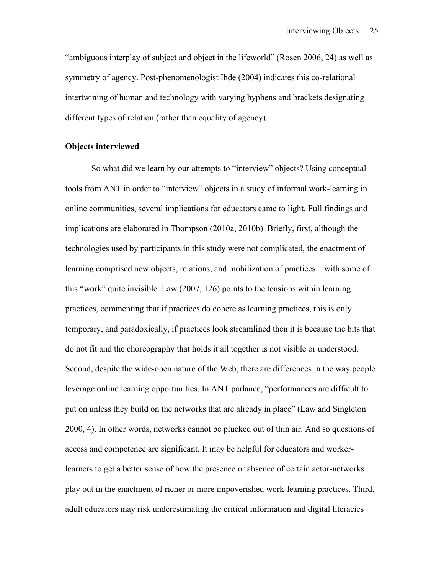"ambiguous interplay of subject and object in the lifeworld" (Rosen 2006, 24) as well as symmetry of agency. Post-phenomenologist Ihde (2004) indicates this co-relational intertwining of human and technology with varying hyphens and brackets designating different types of relation (rather than equality of agency).

# **Objects interviewed**

So what did we learn by our attempts to "interview" objects? Using conceptual tools from ANT in order to "interview" objects in a study of informal work-learning in online communities, several implications for educators came to light. Full findings and implications are elaborated in Thompson (2010a, 2010b). Briefly, first, although the technologies used by participants in this study were not complicated, the enactment of learning comprised new objects, relations, and mobilization of practices—with some of this "work" quite invisible. Law (2007, 126) points to the tensions within learning practices, commenting that if practices do cohere as learning practices, this is only temporary, and paradoxically, if practices look streamlined then it is because the bits that do not fit and the choreography that holds it all together is not visible or understood. Second, despite the wide-open nature of the Web, there are differences in the way people leverage online learning opportunities. In ANT parlance, "performances are difficult to put on unless they build on the networks that are already in place" (Law and Singleton 2000, 4). In other words, networks cannot be plucked out of thin air. And so questions of access and competence are significant. It may be helpful for educators and workerlearners to get a better sense of how the presence or absence of certain actor-networks play out in the enactment of richer or more impoverished work-learning practices. Third, adult educators may risk underestimating the critical information and digital literacies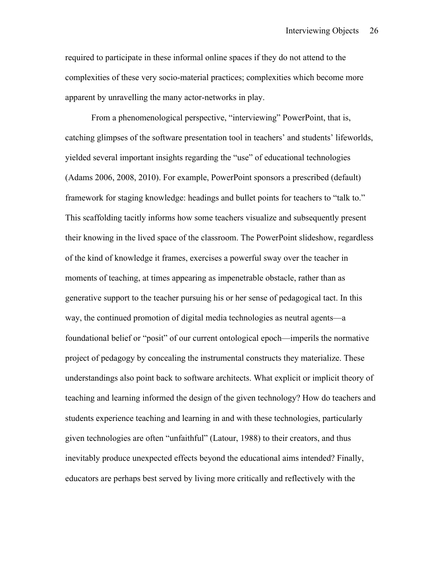required to participate in these informal online spaces if they do not attend to the complexities of these very socio-material practices; complexities which become more apparent by unravelling the many actor-networks in play.

From a phenomenological perspective, "interviewing" PowerPoint, that is, catching glimpses of the software presentation tool in teachers' and students' lifeworlds, yielded several important insights regarding the "use" of educational technologies (Adams 2006, 2008, 2010). For example, PowerPoint sponsors a prescribed (default) framework for staging knowledge: headings and bullet points for teachers to "talk to." This scaffolding tacitly informs how some teachers visualize and subsequently present their knowing in the lived space of the classroom. The PowerPoint slideshow, regardless of the kind of knowledge it frames, exercises a powerful sway over the teacher in moments of teaching, at times appearing as impenetrable obstacle, rather than as generative support to the teacher pursuing his or her sense of pedagogical tact. In this way, the continued promotion of digital media technologies as neutral agents—a foundational belief or "posit" of our current ontological epoch—imperils the normative project of pedagogy by concealing the instrumental constructs they materialize. These understandings also point back to software architects. What explicit or implicit theory of teaching and learning informed the design of the given technology? How do teachers and students experience teaching and learning in and with these technologies, particularly given technologies are often "unfaithful" (Latour, 1988) to their creators, and thus inevitably produce unexpected effects beyond the educational aims intended? Finally, educators are perhaps best served by living more critically and reflectively with the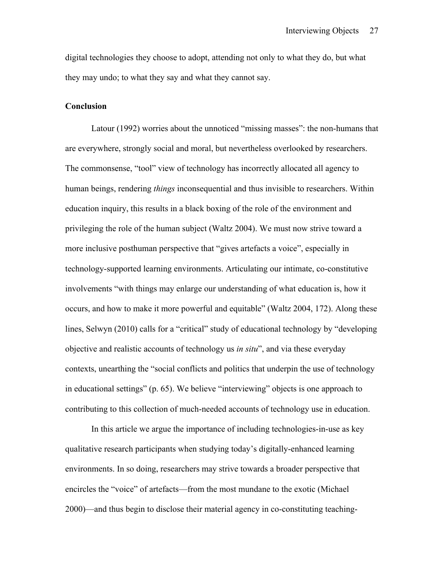digital technologies they choose to adopt, attending not only to what they do, but what they may undo; to what they say and what they cannot say.

## **Conclusion**

Latour (1992) worries about the unnoticed "missing masses": the non-humans that are everywhere, strongly social and moral, but nevertheless overlooked by researchers. The commonsense, "tool" view of technology has incorrectly allocated all agency to human beings, rendering *things* inconsequential and thus invisible to researchers. Within education inquiry, this results in a black boxing of the role of the environment and privileging the role of the human subject (Waltz 2004). We must now strive toward a more inclusive posthuman perspective that "gives artefacts a voice", especially in technology-supported learning environments. Articulating our intimate, co-constitutive involvements "with things may enlarge our understanding of what education is, how it occurs, and how to make it more powerful and equitable" (Waltz 2004, 172). Along these lines, Selwyn (2010) calls for a "critical" study of educational technology by "developing objective and realistic accounts of technology us *in situ*", and via these everyday contexts, unearthing the "social conflicts and politics that underpin the use of technology in educational settings" (p. 65). We believe "interviewing" objects is one approach to contributing to this collection of much-needed accounts of technology use in education.

In this article we argue the importance of including technologies-in-use as key qualitative research participants when studying today's digitally-enhanced learning environments. In so doing, researchers may strive towards a broader perspective that encircles the "voice" of artefacts—from the most mundane to the exotic (Michael 2000)—and thus begin to disclose their material agency in co-constituting teaching-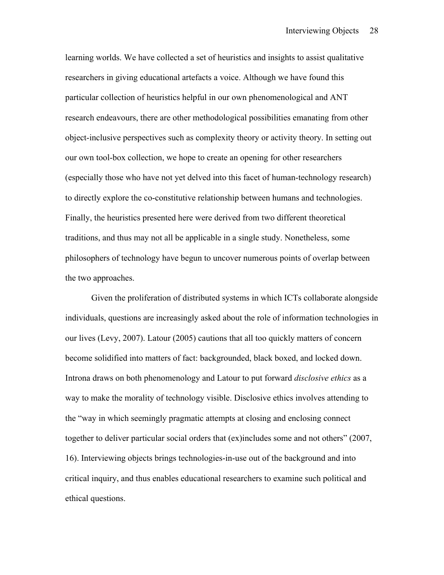learning worlds. We have collected a set of heuristics and insights to assist qualitative researchers in giving educational artefacts a voice. Although we have found this particular collection of heuristics helpful in our own phenomenological and ANT research endeavours, there are other methodological possibilities emanating from other object-inclusive perspectives such as complexity theory or activity theory. In setting out our own tool-box collection, we hope to create an opening for other researchers (especially those who have not yet delved into this facet of human-technology research) to directly explore the co-constitutive relationship between humans and technologies. Finally, the heuristics presented here were derived from two different theoretical traditions, and thus may not all be applicable in a single study. Nonetheless, some philosophers of technology have begun to uncover numerous points of overlap between the two approaches.

Given the proliferation of distributed systems in which ICTs collaborate alongside individuals, questions are increasingly asked about the role of information technologies in our lives (Levy, 2007). Latour (2005) cautions that all too quickly matters of concern become solidified into matters of fact: backgrounded, black boxed, and locked down. Introna draws on both phenomenology and Latour to put forward *disclosive ethics* as a way to make the morality of technology visible. Disclosive ethics involves attending to the "way in which seemingly pragmatic attempts at closing and enclosing connect together to deliver particular social orders that (ex)includes some and not others" (2007, 16). Interviewing objects brings technologies-in-use out of the background and into critical inquiry, and thus enables educational researchers to examine such political and ethical questions.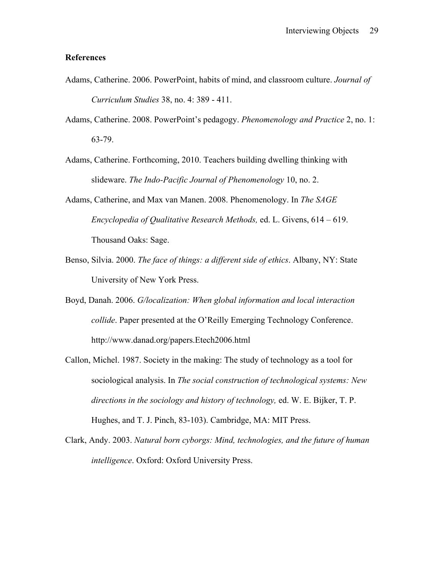# **References**

- Adams, Catherine. 2006. PowerPoint, habits of mind, and classroom culture. *Journal of Curriculum Studies* 38, no. 4: 389 - 411.
- Adams, Catherine. 2008. PowerPoint's pedagogy. *Phenomenology and Practice* 2, no. 1: 63-79.
- Adams, Catherine. Forthcoming, 2010. Teachers building dwelling thinking with slideware. *The Indo-Pacific Journal of Phenomenology* 10, no. 2.
- Adams, Catherine, and Max van Manen. 2008. Phenomenology. In *The SAGE Encyclopedia of Qualitative Research Methods,* ed. L. Givens, 614 – 619. Thousand Oaks: Sage.
- Benso, Silvia. 2000. *The face of things: a different side of ethics*. Albany, NY: State University of New York Press.
- Boyd, Danah. 2006. *G/localization: When global information and local interaction collide*. Paper presented at the O'Reilly Emerging Technology Conference. http://www.danad.org/papers.Etech2006.html
- Callon, Michel. 1987. Society in the making: The study of technology as a tool for sociological analysis. In *The social construction of technological systems: New directions in the sociology and history of technology,* ed. W. E. Bijker, T. P. Hughes, and T. J. Pinch, 83-103). Cambridge, MA: MIT Press.
- Clark, Andy. 2003. *Natural born cyborgs: Mind, technologies, and the future of human intelligence*. Oxford: Oxford University Press.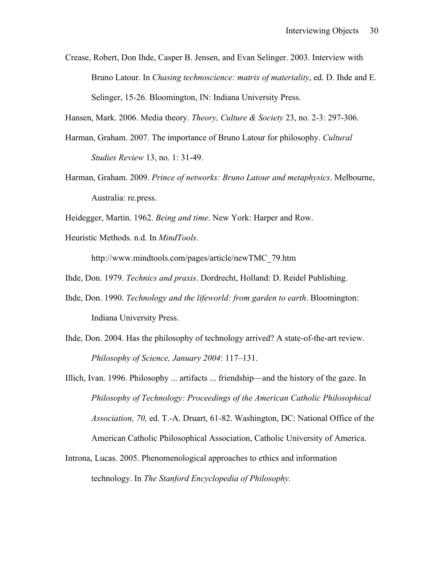Crease, Robert, Don Ihde, Casper B. Jensen, and Evan Selinger. 2003. Interview with Bruno Latour. In *Chasing technoscience: matrix of materiality*, ed. D. Ihde and E. Selinger, 15-26. Bloomington, IN: Indiana University Press.

Hansen, Mark. 2006. Media theory. *Theory, Culture & Society* 23, no. 2-3: 297-306.

- Harman, Graham. 2007. The importance of Bruno Latour for philosophy. *Cultural Studies Review* 13, no. 1: 31-49.
- Harman, Graham. 2009. *Prince of networks: Bruno Latour and metaphysics*. Melbourne, Australia: re.press.

Heidegger, Martin. 1962. *Being and time*. New York: Harper and Row.

Heuristic Methods. n.d. In *MindTools*.

http://www.mindtools.com/pages/article/newTMC\_79.htm

Ihde, Don. 1979. *Technics and praxis*. Dordrecht, Holland: D. Reidel Publishing.

- Ihde, Don. 1990. *Technology and the lifeworld: from garden to earth*. Bloomington: Indiana University Press.
- Ihde, Don. 2004. Has the philosophy of technology arrived? A state-of-the-art review. *Philosophy of Science, January 2004*: 117–131.
- Illich, Ivan. 1996. Philosophy ... artifacts ... friendship—and the history of the gaze. In *Philosophy of Technology: Proceedings of the American Catholic Philosophical Association, 70,* ed. T.-A. Druart, 61-82. Washington, DC: National Office of the American Catholic Philosophical Association, Catholic University of America.
- Introna, Lucas. 2005. Phenomenological approaches to ethics and information technology. In *The Stanford Encyclopedia of Philosophy.*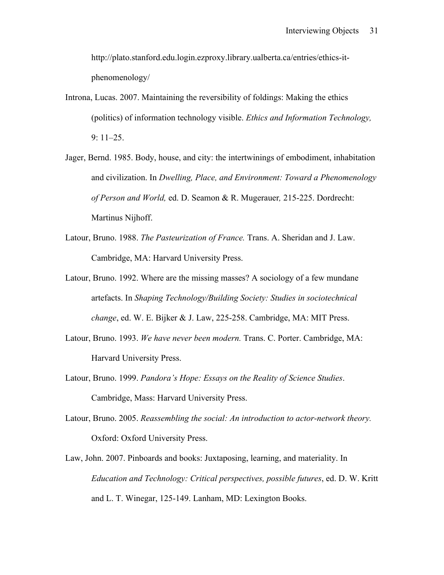http://plato.stanford.edu.login.ezproxy.library.ualberta.ca/entries/ethics-itphenomenology/

- Introna, Lucas. 2007. Maintaining the reversibility of foldings: Making the ethics (politics) of information technology visible. *Ethics and Information Technology,*  9: 11–25.
- Jager, Bernd. 1985. Body, house, and city: the intertwinings of embodiment, inhabitation and civilization. In *Dwelling, Place, and Environment: Toward a Phenomenology of Person and World,* ed. D. Seamon & R. Mugerauer*,* 215-225. Dordrecht: Martinus Nijhoff.
- Latour, Bruno. 1988. *The Pasteurization of France.* Trans. A. Sheridan and J. Law. Cambridge, MA: Harvard University Press.
- Latour, Bruno. 1992. Where are the missing masses? A sociology of a few mundane artefacts. In *Shaping Technology/Building Society: Studies in sociotechnical change*, ed. W. E. Bijker & J. Law, 225-258. Cambridge, MA: MIT Press.
- Latour, Bruno. 1993. *We have never been modern.* Trans. C. Porter. Cambridge, MA: Harvard University Press.
- Latour, Bruno. 1999. *Pandora's Hope: Essays on the Reality of Science Studies*. Cambridge, Mass: Harvard University Press.
- Latour, Bruno. 2005. *Reassembling the social: An introduction to actor-network theory.* Oxford: Oxford University Press.
- Law, John. 2007. Pinboards and books: Juxtaposing, learning, and materiality. In *Education and Technology: Critical perspectives, possible futures*, ed. D. W. Kritt and L. T. Winegar, 125-149. Lanham, MD: Lexington Books.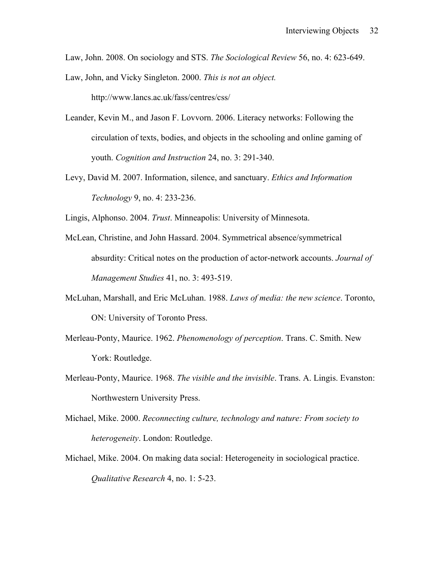Law, John. 2008. On sociology and STS. *The Sociological Review* 56, no. 4: 623-649.

Law, John, and Vicky Singleton. 2000. *This is not an object.*

http://www.lancs.ac.uk/fass/centres/css/

- Leander, Kevin M., and Jason F. Lovvorn. 2006. Literacy networks: Following the circulation of texts, bodies, and objects in the schooling and online gaming of youth. *Cognition and Instruction* 24, no. 3: 291-340.
- Levy, David M. 2007. Information, silence, and sanctuary. *Ethics and Information Technology* 9, no. 4: 233-236.

Lingis, Alphonso. 2004. *Trust*. Minneapolis: University of Minnesota.

- McLean, Christine, and John Hassard. 2004. Symmetrical absence/symmetrical absurdity: Critical notes on the production of actor-network accounts. *Journal of Management Studies* 41, no. 3: 493-519.
- McLuhan, Marshall, and Eric McLuhan. 1988. *Laws of media: the new science*. Toronto, ON: University of Toronto Press.
- Merleau-Ponty, Maurice. 1962. *Phenomenology of perception*. Trans. C. Smith. New York: Routledge.
- Merleau-Ponty, Maurice. 1968. *The visible and the invisible*. Trans. A. Lingis. Evanston: Northwestern University Press.
- Michael, Mike. 2000. *Reconnecting culture, technology and nature: From society to heterogeneity*. London: Routledge.
- Michael, Mike. 2004. On making data social: Heterogeneity in sociological practice. *Qualitative Research* 4, no. 1: 5-23.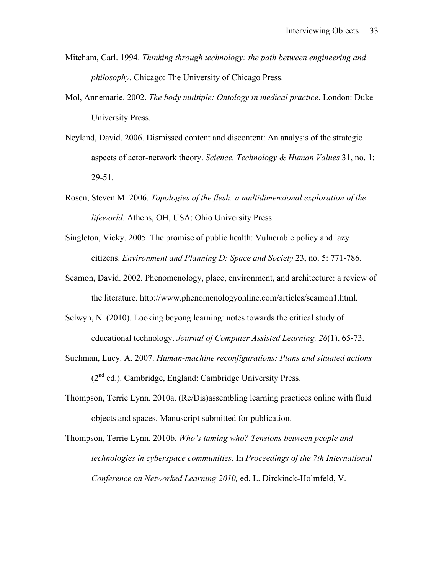- Mitcham, Carl. 1994. *Thinking through technology: the path between engineering and philosophy*. Chicago: The University of Chicago Press.
- Mol, Annemarie. 2002. *The body multiple: Ontology in medical practice*. London: Duke University Press.
- Neyland, David. 2006. Dismissed content and discontent: An analysis of the strategic aspects of actor-network theory. *Science, Technology & Human Values* 31, no. 1: 29-51.
- Rosen, Steven M. 2006. *Topologies of the flesh: a multidimensional exploration of the lifeworld*. Athens, OH, USA: Ohio University Press.
- Singleton, Vicky. 2005. The promise of public health: Vulnerable policy and lazy citizens. *Environment and Planning D: Space and Society* 23, no. 5: 771-786.
- Seamon, David. 2002. Phenomenology, place, environment, and architecture: a review of the literature. http://www.phenomenologyonline.com/articles/seamon1.html.
- Selwyn, N. (2010). Looking beyong learning: notes towards the critical study of educational technology. *Journal of Computer Assisted Learning, 26*(1), 65-73.
- Suchman, Lucy. A. 2007. *Human-machine reconfigurations: Plans and situated actions*  $(2<sup>nd</sup>$  ed.). Cambridge, England: Cambridge University Press.
- Thompson, Terrie Lynn. 2010a. (Re/Dis)assembling learning practices online with fluid objects and spaces. Manuscript submitted for publication.
- Thompson, Terrie Lynn. 2010b. *Who's taming who? Tensions between people and technologies in cyberspace communities*. In *Proceedings of the 7th International Conference on Networked Learning 2010,* ed. L. Dirckinck-Holmfeld, V.